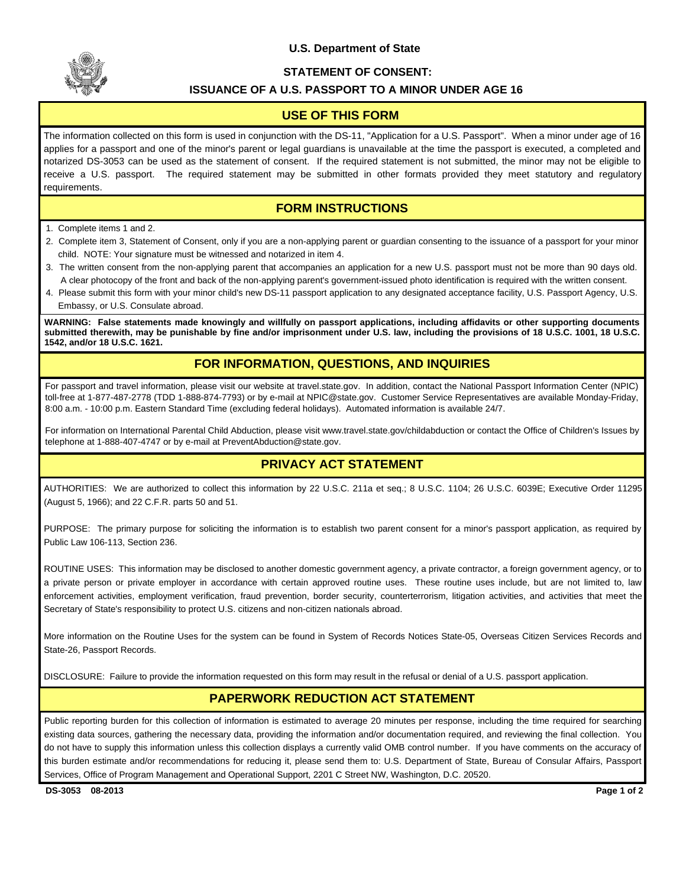#### **U.S. Department of State**



#### **STATEMENT OF CONSENT:**

#### **ISSUANCE OF A U.S. PASSPORT TO A MINOR UNDER AGE 16**

### **USE OF THIS FORM**

The information collected on this form is used in conjunction with the DS-11, "Application for a U.S. Passport". When a minor under age of 16 applies for a passport and one of the minor's parent or legal guardians is unavailable at the time the passport is executed, a completed and notarized DS-3053 can be used as the statement of consent. If the required statement is not submitted, the minor may not be eligible to receive a U.S. passport. The required statement may be submitted in other formats provided they meet statutory and regulatory requirements.

# **FORM INSTRUCTIONS**

- 1. Complete items 1 and 2.
- 2. Complete item 3, Statement of Consent, only if you are a non-applying parent or guardian consenting to the issuance of a passport for your minor child. NOTE: Your signature must be witnessed and notarized in item 4.
- 3. The written consent from the non-applying parent that accompanies an application for a new U.S. passport must not be more than 90 days old. A clear photocopy of the front and back of the non-applying parent's government-issued photo identification is required with the written consent.
- 4. Please submit this form with your minor child's new DS-11 passport application to any designated acceptance facility, U.S. Passport Agency, U.S. Embassy, or U.S. Consulate abroad.

**WARNING: False statements made knowingly and willfully on passport applications, including affidavits or other supporting documents submitted therewith, may be punishable by fine and/or imprisonment under U.S. law, including the provisions of 18 U.S.C. 1001, 18 U.S.C. 1542, and/or 18 U.S.C. 1621.**

### **FOR INFORMATION, QUESTIONS, AND INQUIRIES**

For passport and travel information, please visit our website at travel.state.gov. In addition, contact the National Passport Information Center (NPIC) toll-free at 1-877-487-2778 (TDD 1-888-874-7793) or by e-mail at NPIC@state.gov. Customer Service Representatives are available Monday-Friday, 8:00 a.m. - 10:00 p.m. Eastern Standard Time (excluding federal holidays). Automated information is available 24/7.

For information on International Parental Child Abduction, please visit www.travel.state.gov/childabduction or contact the Office of Children's Issues by telephone at 1-888-407-4747 or by e-mail at PreventAbduction@state.gov.

## **PRIVACY ACT STATEMENT**

AUTHORITIES: We are authorized to collect this information by 22 U.S.C. 211a et seq.; 8 U.S.C. 1104; 26 U.S.C. 6039E; Executive Order 11295 (August 5, 1966); and 22 C.F.R. parts 50 and 51.

PURPOSE: The primary purpose for soliciting the information is to establish two parent consent for a minor's passport application, as required by Public Law 106-113, Section 236.

ROUTINE USES: This information may be disclosed to another domestic government agency, a private contractor, a foreign government agency, or to a private person or private employer in accordance with certain approved routine uses. These routine uses include, but are not limited to, law enforcement activities, employment verification, fraud prevention, border security, counterterrorism, litigation activities, and activities that meet the Secretary of State's responsibility to protect U.S. citizens and non-citizen nationals abroad.

More information on the Routine Uses for the system can be found in System of Records Notices State-05, Overseas Citizen Services Records and State-26, Passport Records.

DISCLOSURE: Failure to provide the information requested on this form may result in the refusal or denial of a U.S. passport application.

## **PAPERWORK REDUCTION ACT STATEMENT**

Public reporting burden for this collection of information is estimated to average 20 minutes per response, including the time required for searching existing data sources, gathering the necessary data, providing the information and/or documentation required, and reviewing the final collection. You do not have to supply this information unless this collection displays a currently valid OMB control number. If you have comments on the accuracy of this burden estimate and/or recommendations for reducing it, please send them to: U.S. Department of State, Bureau of Consular Affairs, Passport Services, Office of Program Management and Operational Support, 2201 C Street NW, Washington, D.C. 20520.

**DS-3053 08-2013 Page 1 of 2**